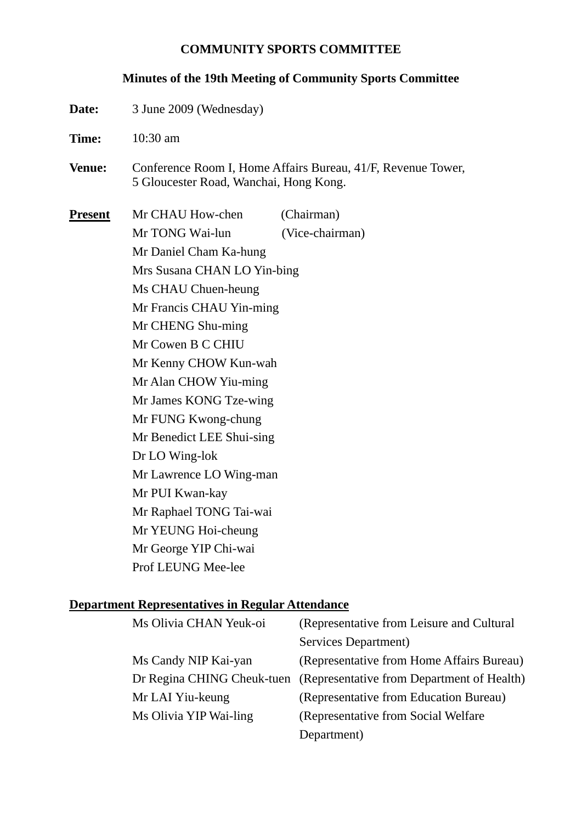#### **COMMUNITY SPORTS COMMITTEE**

#### **Minutes of the 19th Meeting of Community Sports Committee**

- **Date:** 3 June 2009 (Wednesday)
- **Time:** 10:30 am
- **Venue:** Conference Room I, Home Affairs Bureau, 41/F, Revenue Tower, 5 Gloucester Road, Wanchai, Hong Kong.

**Present** Mr CHAU How-chen (Chairman) Mr TONG Wai-lun (Vice-chairman) Mr Daniel Cham Ka-hung Mrs Susana CHAN LO Yin-bing Ms CHAU Chuen-heung Mr Francis CHAU Yin-ming Mr CHENG Shu-ming Mr Cowen B C CHIU Mr Kenny CHOW Kun-wah Mr Alan CHOW Yiu-ming Mr James KONG Tze-wing Mr FUNG Kwong-chung Mr Benedict LEE Shui-sing Dr LO Wing-lok Mr Lawrence LO Wing-man Mr PUI Kwan-kay Mr Raphael TONG Tai-wai Mr YEUNG Hoi-cheung Mr George YIP Chi-wai Prof LEUNG Mee-lee

#### **Department Representatives in Regular Attendance**

| Ms Olivia CHAN Yeuk-oi | (Representative from Leisure and Cultural                             |
|------------------------|-----------------------------------------------------------------------|
|                        | Services Department)                                                  |
| Ms Candy NIP Kai-yan   | (Representative from Home Affairs Bureau)                             |
|                        | Dr Regina CHING Cheuk-tuen (Representative from Department of Health) |
| Mr LAI Yiu-keung       | (Representative from Education Bureau)                                |
| Ms Olivia YIP Wai-ling | (Representative from Social Welfare)                                  |
|                        | Department)                                                           |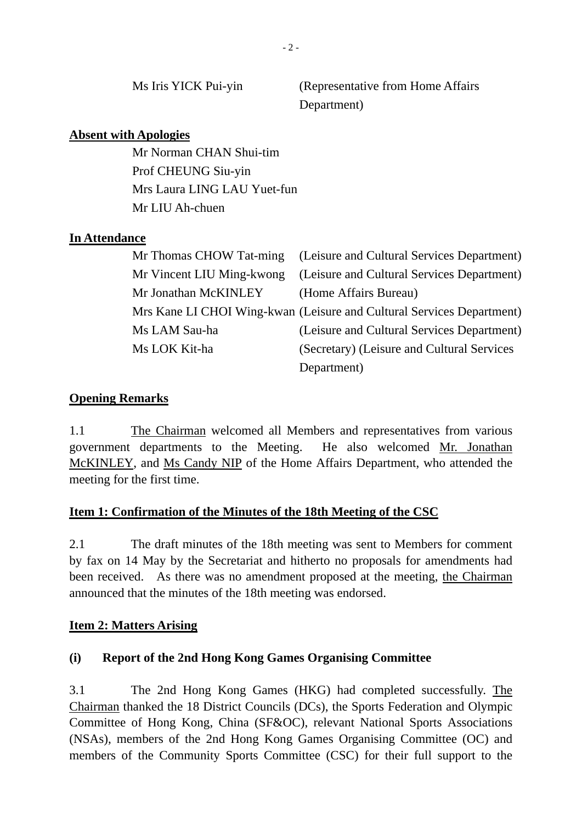Ms Iris YICK Pui-yin (Representative from Home Affairs Department)

#### **Absent with Apologies**

Mr Norman CHAN Shui-tim Prof CHEUNG Siu-yin Mrs Laura LING LAU Yuet-fun Mr LIU Ah-chuen

### **In Attendance**

|                      | Mr Thomas CHOW Tat-ming (Leisure and Cultural Services Department)    |
|----------------------|-----------------------------------------------------------------------|
|                      | Mr Vincent LIU Ming-kwong (Leisure and Cultural Services Department)  |
| Mr Jonathan McKINLEY | (Home Affairs Bureau)                                                 |
|                      | Mrs Kane LI CHOI Wing-kwan (Leisure and Cultural Services Department) |
| Ms LAM Sau-ha        | (Leisure and Cultural Services Department)                            |
| Ms LOK Kit-ha        | (Secretary) (Leisure and Cultural Services                            |
|                      | Department)                                                           |

# **Opening Remarks**

1.1 The Chairman welcomed all Members and representatives from various government departments to the Meeting. He also welcomed Mr. Jonathan McKINLEY, and Ms Candy NIP of the Home Affairs Department, who attended the meeting for the first time.

# **Item 1: Confirmation of the Minutes of the 18th Meeting of the CSC**

2.1 The draft minutes of the 18th meeting was sent to Members for comment by fax on 14 May by the Secretariat and hitherto no proposals for amendments had been received. As there was no amendment proposed at the meeting, the Chairman announced that the minutes of the 18th meeting was endorsed.

#### **Item 2: Matters Arising**

# **(i) Report of the 2nd Hong Kong Games Organising Committee**

3.1 The 2nd Hong Kong Games (HKG) had completed successfully. The Chairman thanked the 18 District Councils (DCs), the Sports Federation and Olympic Committee of Hong Kong, China (SF&OC), relevant National Sports Associations (NSAs), members of the 2nd Hong Kong Games Organising Committee (OC) and members of the Community Sports Committee (CSC) for their full support to the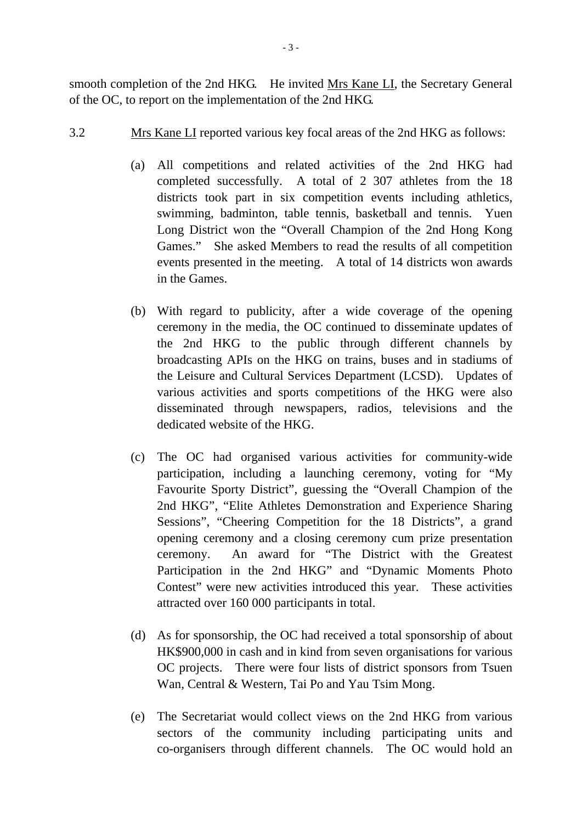smooth completion of the 2nd HKG. He invited Mrs Kane LI, the Secretary General of the OC, to report on the implementation of the 2nd HKG.

- 3.2 Mrs Kane LI reported various key focal areas of the 2nd HKG as follows:
	- (a) All competitions and related activities of the 2nd HKG had completed successfully. A total of 2 307 athletes from the 18 districts took part in six competition events including athletics, swimming, badminton, table tennis, basketball and tennis. Yuen Long District won the "Overall Champion of the 2nd Hong Kong Games." She asked Members to read the results of all competition events presented in the meeting. A total of 14 districts won awards in the Games.
	- (b) With regard to publicity, after a wide coverage of the opening ceremony in the media, the OC continued to disseminate updates of the 2nd HKG to the public through different channels by broadcasting APIs on the HKG on trains, buses and in stadiums of the Leisure and Cultural Services Department (LCSD). Updates of various activities and sports competitions of the HKG were also disseminated through newspapers, radios, televisions and the dedicated website of the HKG.
	- (c) The OC had organised various activities for community-wide participation, including a launching ceremony, voting for "My Favourite Sporty District", guessing the "Overall Champion of the 2nd HKG", "Elite Athletes Demonstration and Experience Sharing Sessions", "Cheering Competition for the 18 Districts", a grand opening ceremony and a closing ceremony cum prize presentation ceremony. An award for "The District with the Greatest Participation in the 2nd HKG" and "Dynamic Moments Photo Contest" were new activities introduced this year. These activities attracted over 160 000 participants in total.
	- (d) As for sponsorship, the OC had received a total sponsorship of about HK\$900,000 in cash and in kind from seven organisations for various OC projects. There were four lists of district sponsors from Tsuen Wan, Central & Western, Tai Po and Yau Tsim Mong.
	- (e) The Secretariat would collect views on the 2nd HKG from various sectors of the community including participating units and co-organisers through different channels. The OC would hold an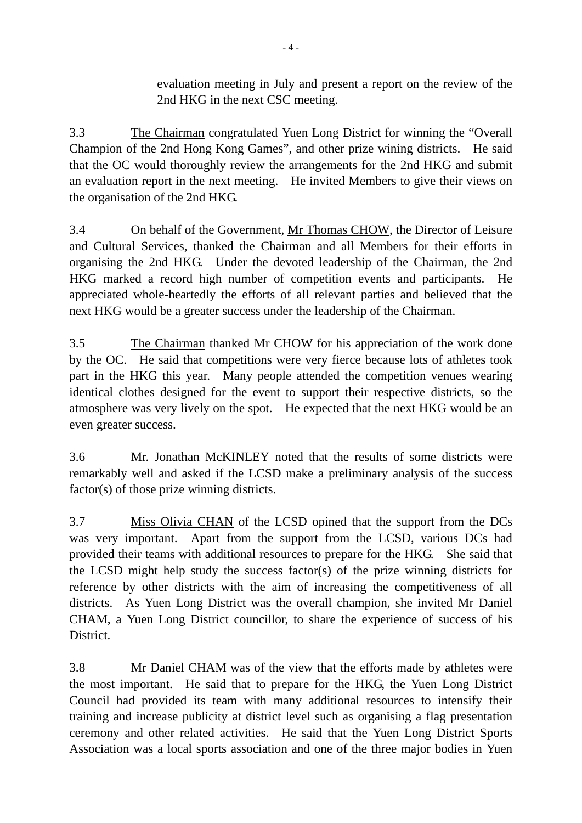evaluation meeting in July and present a report on the review of the 2nd HKG in the next CSC meeting.

3.3 The Chairman congratulated Yuen Long District for winning the "Overall Champion of the 2nd Hong Kong Games", and other prize wining districts. He said that the OC would thoroughly review the arrangements for the 2nd HKG and submit an evaluation report in the next meeting. He invited Members to give their views on the organisation of the 2nd HKG.

3.4 On behalf of the Government, Mr Thomas CHOW, the Director of Leisure and Cultural Services, thanked the Chairman and all Members for their efforts in organising the 2nd HKG. Under the devoted leadership of the Chairman, the 2nd HKG marked a record high number of competition events and participants. He appreciated whole-heartedly the efforts of all relevant parties and believed that the next HKG would be a greater success under the leadership of the Chairman.

3.5 The Chairman thanked Mr CHOW for his appreciation of the work done by the OC. He said that competitions were very fierce because lots of athletes took part in the HKG this year. Many people attended the competition venues wearing identical clothes designed for the event to support their respective districts, so the atmosphere was very lively on the spot. He expected that the next HKG would be an even greater success.

3.6 Mr. Jonathan McKINLEY noted that the results of some districts were remarkably well and asked if the LCSD make a preliminary analysis of the success factor(s) of those prize winning districts.

3.7 Miss Olivia CHAN of the LCSD opined that the support from the DCs was very important. Apart from the support from the LCSD, various DCs had provided their teams with additional resources to prepare for the HKG. She said that the LCSD might help study the success factor(s) of the prize winning districts for reference by other districts with the aim of increasing the competitiveness of all districts. As Yuen Long District was the overall champion, she invited Mr Daniel CHAM, a Yuen Long District councillor, to share the experience of success of his District.

3.8 Mr Daniel CHAM was of the view that the efforts made by athletes were the most important. He said that to prepare for the HKG, the Yuen Long District Council had provided its team with many additional resources to intensify their training and increase publicity at district level such as organising a flag presentation ceremony and other related activities. He said that the Yuen Long District Sports Association was a local sports association and one of the three major bodies in Yuen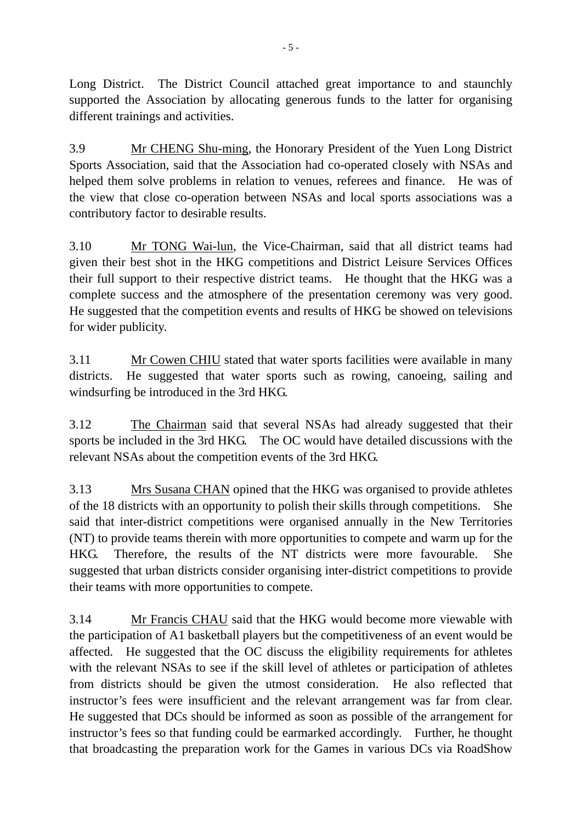Long District. The District Council attached great importance to and staunchly supported the Association by allocating generous funds to the latter for organising different trainings and activities.

3.9 Mr CHENG Shu-ming, the Honorary President of the Yuen Long District Sports Association, said that the Association had co-operated closely with NSAs and helped them solve problems in relation to venues, referees and finance. He was of the view that close co-operation between NSAs and local sports associations was a contributory factor to desirable results.

3.10 Mr TONG Wai-lun, the Vice-Chairman, said that all district teams had given their best shot in the HKG competitions and District Leisure Services Offices their full support to their respective district teams. He thought that the HKG was a complete success and the atmosphere of the presentation ceremony was very good. He suggested that the competition events and results of HKG be showed on televisions for wider publicity.

3.11 Mr Cowen CHIU stated that water sports facilities were available in many districts. He suggested that water sports such as rowing, canoeing, sailing and windsurfing be introduced in the 3rd HKG.

3.12 The Chairman said that several NSAs had already suggested that their sports be included in the 3rd HKG. The OC would have detailed discussions with the relevant NSAs about the competition events of the 3rd HKG.

3.13 Mrs Susana CHAN opined that the HKG was organised to provide athletes of the 18 districts with an opportunity to polish their skills through competitions. She said that inter-district competitions were organised annually in the New Territories (NT) to provide teams therein with more opportunities to compete and warm up for the HKG. Therefore, the results of the NT districts were more favourable. She suggested that urban districts consider organising inter-district competitions to provide their teams with more opportunities to compete.

3.14 Mr Francis CHAU said that the HKG would become more viewable with the participation of A1 basketball players but the competitiveness of an event would be affected. He suggested that the OC discuss the eligibility requirements for athletes with the relevant NSAs to see if the skill level of athletes or participation of athletes from districts should be given the utmost consideration. He also reflected that instructor's fees were insufficient and the relevant arrangement was far from clear. He suggested that DCs should be informed as soon as possible of the arrangement for instructor's fees so that funding could be earmarked accordingly. Further, he thought that broadcasting the preparation work for the Games in various DCs via RoadShow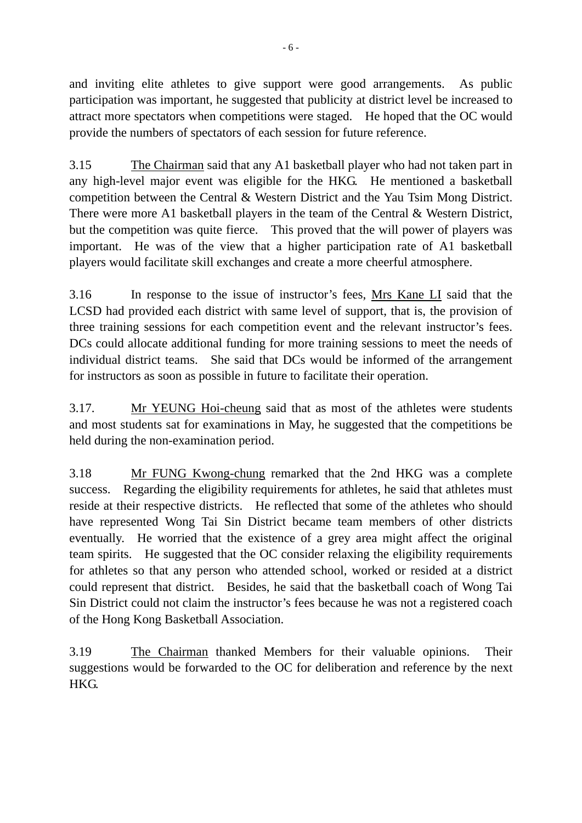and inviting elite athletes to give support were good arrangements. As public participation was important, he suggested that publicity at district level be increased to attract more spectators when competitions were staged. He hoped that the OC would provide the numbers of spectators of each session for future reference.

3.15 The Chairman said that any A1 basketball player who had not taken part in any high-level major event was eligible for the HKG. He mentioned a basketball competition between the Central & Western District and the Yau Tsim Mong District. There were more A1 basketball players in the team of the Central & Western District, but the competition was quite fierce. This proved that the will power of players was important. He was of the view that a higher participation rate of A1 basketball players would facilitate skill exchanges and create a more cheerful atmosphere.

3.16 In response to the issue of instructor's fees, Mrs Kane LI said that the LCSD had provided each district with same level of support, that is, the provision of three training sessions for each competition event and the relevant instructor's fees. DCs could allocate additional funding for more training sessions to meet the needs of individual district teams. She said that DCs would be informed of the arrangement for instructors as soon as possible in future to facilitate their operation.

3.17. Mr YEUNG Hoi-cheung said that as most of the athletes were students and most students sat for examinations in May, he suggested that the competitions be held during the non-examination period.

3.18 Mr FUNG Kwong-chung remarked that the 2nd HKG was a complete success. Regarding the eligibility requirements for athletes, he said that athletes must reside at their respective districts. He reflected that some of the athletes who should have represented Wong Tai Sin District became team members of other districts eventually. He worried that the existence of a grey area might affect the original team spirits. He suggested that the OC consider relaxing the eligibility requirements for athletes so that any person who attended school, worked or resided at a district could represent that district. Besides, he said that the basketball coach of Wong Tai Sin District could not claim the instructor's fees because he was not a registered coach of the Hong Kong Basketball Association.

3.19 The Chairman thanked Members for their valuable opinions. Their suggestions would be forwarded to the OC for deliberation and reference by the next HKG.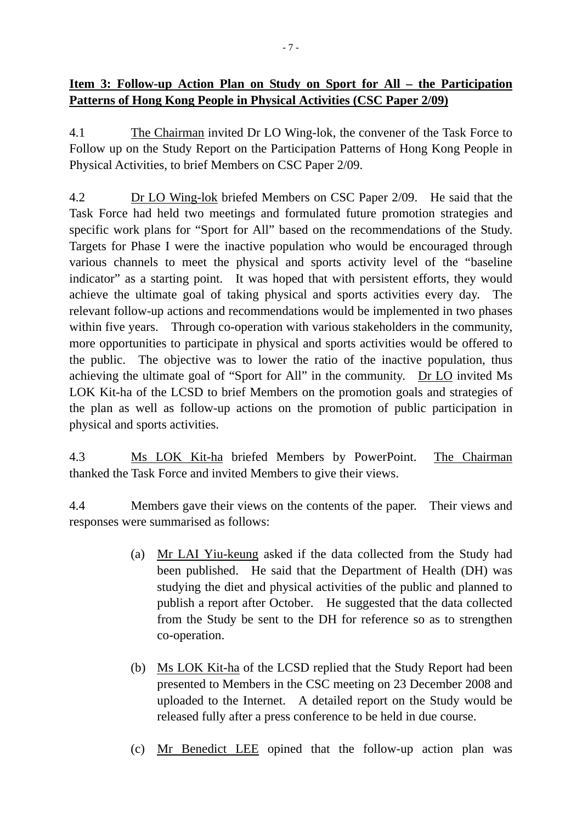# **Item 3: Follow-up Action Plan on Study on Sport for All – the Participation Patterns of Hong Kong People in Physical Activities (CSC Paper 2/09)**

4.1 The Chairman invited Dr LO Wing-lok, the convener of the Task Force to Follow up on the Study Report on the Participation Patterns of Hong Kong People in Physical Activities, to brief Members on CSC Paper 2/09.

4.2 Dr LO Wing-lok briefed Members on CSC Paper 2/09. He said that the Task Force had held two meetings and formulated future promotion strategies and specific work plans for "Sport for All" based on the recommendations of the Study. Targets for Phase I were the inactive population who would be encouraged through various channels to meet the physical and sports activity level of the "baseline indicator" as a starting point. It was hoped that with persistent efforts, they would achieve the ultimate goal of taking physical and sports activities every day. The relevant follow-up actions and recommendations would be implemented in two phases within five years. Through co-operation with various stakeholders in the community, more opportunities to participate in physical and sports activities would be offered to the public. The objective was to lower the ratio of the inactive population, thus achieving the ultimate goal of "Sport for All" in the community. Dr LO invited Ms LOK Kit-ha of the LCSD to brief Members on the promotion goals and strategies of the plan as well as follow-up actions on the promotion of public participation in physical and sports activities.

4.3 Ms LOK Kit-ha briefed Members by PowerPoint. The Chairman thanked the Task Force and invited Members to give their views.

4.4 Members gave their views on the contents of the paper. Their views and responses were summarised as follows:

- (a) Mr LAI Yiu-keung asked if the data collected from the Study had been published. He said that the Department of Health (DH) was studying the diet and physical activities of the public and planned to publish a report after October. He suggested that the data collected from the Study be sent to the DH for reference so as to strengthen co-operation.
- (b) Ms LOK Kit-ha of the LCSD replied that the Study Report had been presented to Members in the CSC meeting on 23 December 2008 and uploaded to the Internet. A detailed report on the Study would be released fully after a press conference to be held in due course.
- (c) Mr Benedict LEE opined that the follow-up action plan was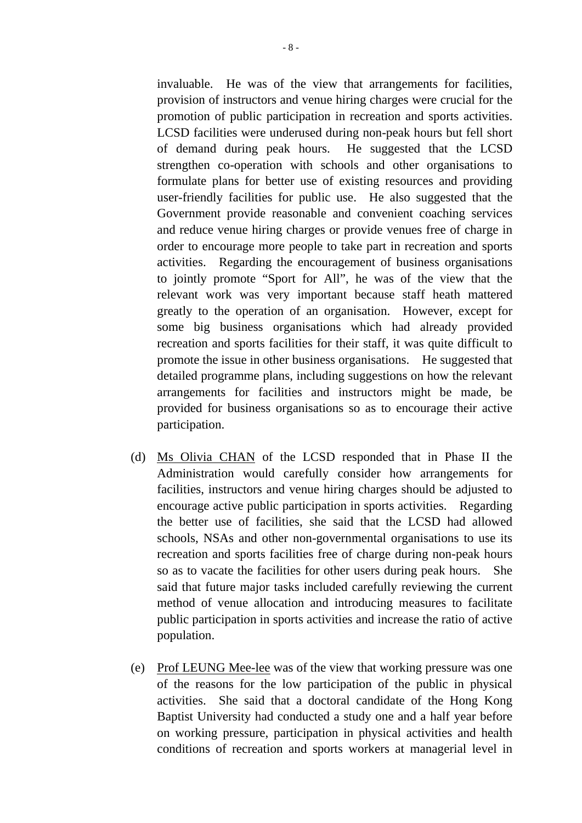invaluable. He was of the view that arrangements for facilities, provision of instructors and venue hiring charges were crucial for the promotion of public participation in recreation and sports activities. LCSD facilities were underused during non-peak hours but fell short of demand during peak hours. He suggested that the LCSD strengthen co-operation with schools and other organisations to formulate plans for better use of existing resources and providing user-friendly facilities for public use. He also suggested that the Government provide reasonable and convenient coaching services and reduce venue hiring charges or provide venues free of charge in order to encourage more people to take part in recreation and sports activities. Regarding the encouragement of business organisations to jointly promote "Sport for All", he was of the view that the relevant work was very important because staff heath mattered greatly to the operation of an organisation. However, except for some big business organisations which had already provided recreation and sports facilities for their staff, it was quite difficult to promote the issue in other business organisations. He suggested that detailed programme plans, including suggestions on how the relevant arrangements for facilities and instructors might be made, be provided for business organisations so as to encourage their active participation.

- (d) Ms Olivia CHAN of the LCSD responded that in Phase II the Administration would carefully consider how arrangements for facilities, instructors and venue hiring charges should be adjusted to encourage active public participation in sports activities. Regarding the better use of facilities, she said that the LCSD had allowed schools, NSAs and other non-governmental organisations to use its recreation and sports facilities free of charge during non-peak hours so as to vacate the facilities for other users during peak hours. She said that future major tasks included carefully reviewing the current method of venue allocation and introducing measures to facilitate public participation in sports activities and increase the ratio of active population.
- (e) Prof LEUNG Mee-lee was of the view that working pressure was one of the reasons for the low participation of the public in physical activities. She said that a doctoral candidate of the Hong Kong Baptist University had conducted a study one and a half year before on working pressure, participation in physical activities and health conditions of recreation and sports workers at managerial level in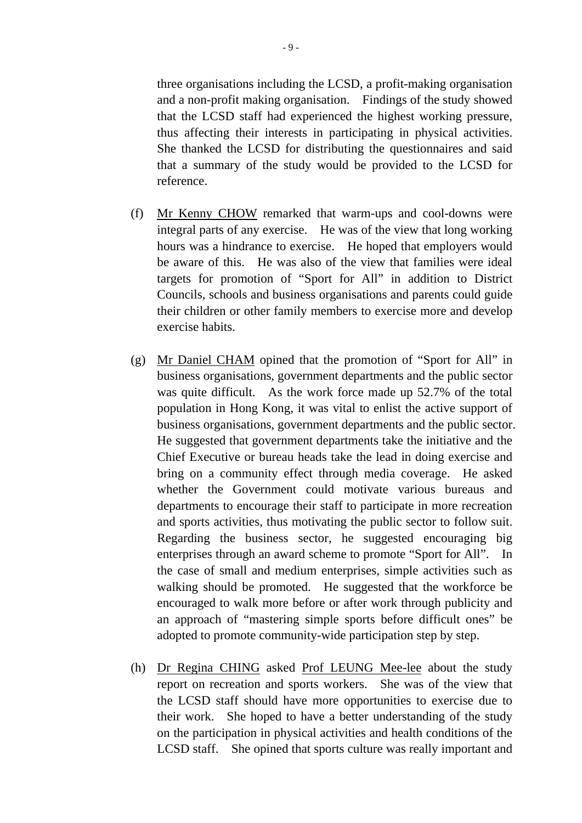three organisations including the LCSD, a profit-making organisation and a non-profit making organisation. Findings of the study showed that the LCSD staff had experienced the highest working pressure, thus affecting their interests in participating in physical activities. She thanked the LCSD for distributing the questionnaires and said that a summary of the study would be provided to the LCSD for reference.

- (f) Mr Kenny CHOW remarked that warm-ups and cool-downs were integral parts of any exercise. He was of the view that long working hours was a hindrance to exercise. He hoped that employers would be aware of this. He was also of the view that families were ideal targets for promotion of "Sport for All" in addition to District Councils, schools and business organisations and parents could guide their children or other family members to exercise more and develop exercise habits.
- (g) Mr Daniel CHAM opined that the promotion of "Sport for All" in business organisations, government departments and the public sector was quite difficult. As the work force made up 52.7% of the total population in Hong Kong, it was vital to enlist the active support of business organisations, government departments and the public sector. He suggested that government departments take the initiative and the Chief Executive or bureau heads take the lead in doing exercise and bring on a community effect through media coverage. He asked whether the Government could motivate various bureaus and departments to encourage their staff to participate in more recreation and sports activities, thus motivating the public sector to follow suit. Regarding the business sector, he suggested encouraging big enterprises through an award scheme to promote "Sport for All". In the case of small and medium enterprises, simple activities such as walking should be promoted. He suggested that the workforce be encouraged to walk more before or after work through publicity and an approach of "mastering simple sports before difficult ones" be adopted to promote community-wide participation step by step.
- (h) Dr Regina CHING asked Prof LEUNG Mee-lee about the study report on recreation and sports workers. She was of the view that the LCSD staff should have more opportunities to exercise due to their work. She hoped to have a better understanding of the study on the participation in physical activities and health conditions of the LCSD staff. She opined that sports culture was really important and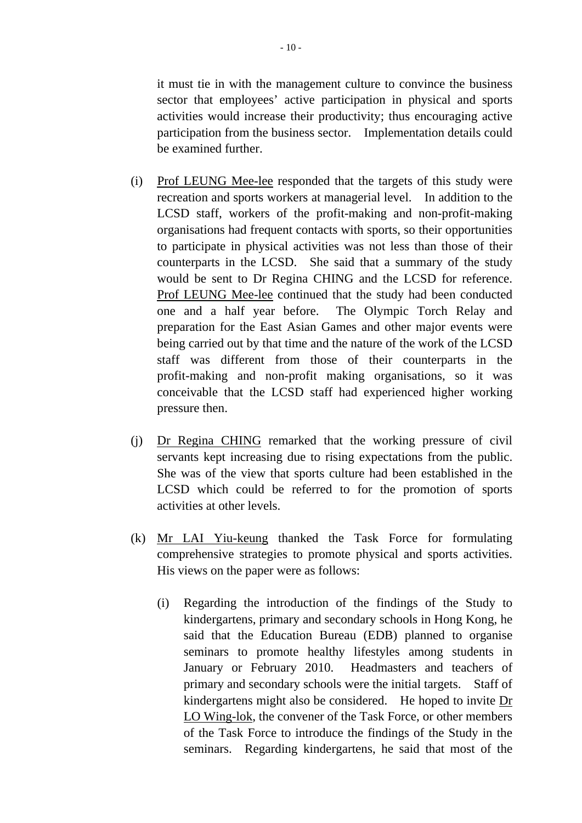it must tie in with the management culture to convince the business sector that employees' active participation in physical and sports activities would increase their productivity; thus encouraging active participation from the business sector. Implementation details could be examined further.

- (i) Prof LEUNG Mee-lee responded that the targets of this study were recreation and sports workers at managerial level. In addition to the LCSD staff, workers of the profit-making and non-profit-making organisations had frequent contacts with sports, so their opportunities to participate in physical activities was not less than those of their counterparts in the LCSD. She said that a summary of the study would be sent to Dr Regina CHING and the LCSD for reference. Prof LEUNG Mee-lee continued that the study had been conducted one and a half year before. The Olympic Torch Relay and preparation for the East Asian Games and other major events were being carried out by that time and the nature of the work of the LCSD staff was different from those of their counterparts in the profit-making and non-profit making organisations, so it was conceivable that the LCSD staff had experienced higher working pressure then.
- (j) Dr Regina CHING remarked that the working pressure of civil servants kept increasing due to rising expectations from the public. She was of the view that sports culture had been established in the LCSD which could be referred to for the promotion of sports activities at other levels.
- (k) Mr LAI Yiu-keung thanked the Task Force for formulating comprehensive strategies to promote physical and sports activities. His views on the paper were as follows:
	- (i) Regarding the introduction of the findings of the Study to kindergartens, primary and secondary schools in Hong Kong, he said that the Education Bureau (EDB) planned to organise seminars to promote healthy lifestyles among students in January or February 2010. Headmasters and teachers of primary and secondary schools were the initial targets. Staff of kindergartens might also be considered. He hoped to invite Dr LO Wing-lok, the convener of the Task Force, or other members of the Task Force to introduce the findings of the Study in the seminars. Regarding kindergartens, he said that most of the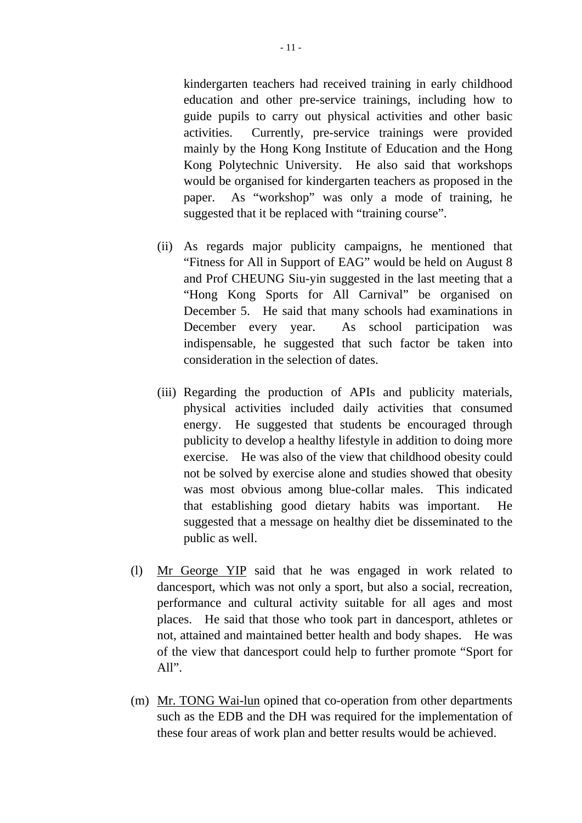kindergarten teachers had received training in early childhood education and other pre-service trainings, including how to guide pupils to carry out physical activities and other basic activities. Currently, pre-service trainings were provided mainly by the Hong Kong Institute of Education and the Hong Kong Polytechnic University. He also said that workshops would be organised for kindergarten teachers as proposed in the paper. As "workshop" was only a mode of training, he suggested that it be replaced with "training course".

- (ii) As regards major publicity campaigns, he mentioned that "Fitness for All in Support of EAG" would be held on August 8 and Prof CHEUNG Siu-yin suggested in the last meeting that a "Hong Kong Sports for All Carnival" be organised on December 5. He said that many schools had examinations in December every year. As school participation was indispensable, he suggested that such factor be taken into consideration in the selection of dates.
- (iii) Regarding the production of APIs and publicity materials, physical activities included daily activities that consumed energy. He suggested that students be encouraged through publicity to develop a healthy lifestyle in addition to doing more exercise. He was also of the view that childhood obesity could not be solved by exercise alone and studies showed that obesity was most obvious among blue-collar males. This indicated that establishing good dietary habits was important. He suggested that a message on healthy diet be disseminated to the public as well.
- (l) Mr George YIP said that he was engaged in work related to dancesport, which was not only a sport, but also a social, recreation, performance and cultural activity suitable for all ages and most places. He said that those who took part in dancesport, athletes or not, attained and maintained better health and body shapes. He was of the view that dancesport could help to further promote "Sport for All".
- (m) Mr. TONG Wai-lun opined that co-operation from other departments such as the EDB and the DH was required for the implementation of these four areas of work plan and better results would be achieved.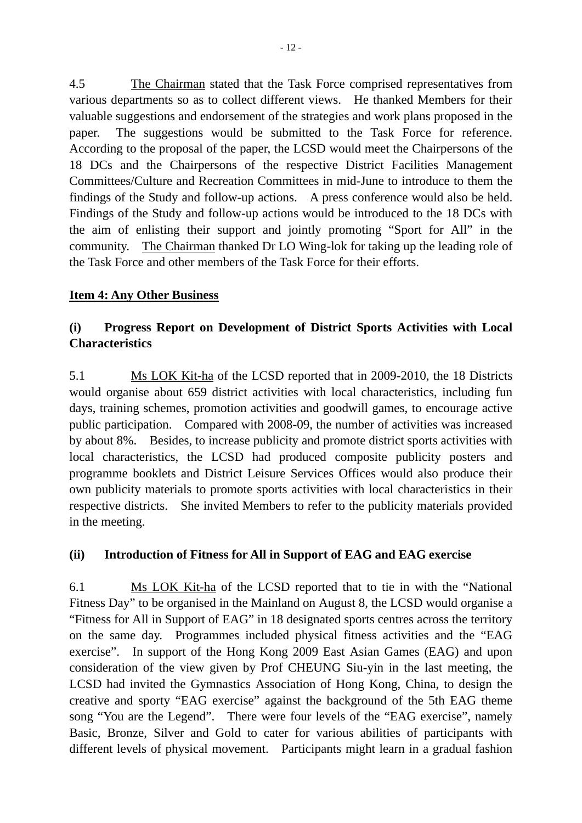4.5 The Chairman stated that the Task Force comprised representatives from various departments so as to collect different views. He thanked Members for their valuable suggestions and endorsement of the strategies and work plans proposed in the paper. The suggestions would be submitted to the Task Force for reference. According to the proposal of the paper, the LCSD would meet the Chairpersons of the 18 DCs and the Chairpersons of the respective District Facilities Management Committees/Culture and Recreation Committees in mid-June to introduce to them the findings of the Study and follow-up actions. A press conference would also be held. Findings of the Study and follow-up actions would be introduced to the 18 DCs with the aim of enlisting their support and jointly promoting "Sport for All" in the community. The Chairman thanked Dr LO Wing-lok for taking up the leading role of the Task Force and other members of the Task Force for their efforts.

### **Item 4: Any Other Business**

# **(i) Progress Report on Development of District Sports Activities with Local Characteristics**

5.1 Ms LOK Kit-ha of the LCSD reported that in 2009-2010, the 18 Districts would organise about 659 district activities with local characteristics, including fun days, training schemes, promotion activities and goodwill games, to encourage active public participation. Compared with 2008-09, the number of activities was increased by about 8%. Besides, to increase publicity and promote district sports activities with local characteristics, the LCSD had produced composite publicity posters and programme booklets and District Leisure Services Offices would also produce their own publicity materials to promote sports activities with local characteristics in their respective districts. She invited Members to refer to the publicity materials provided in the meeting.

# **(ii) Introduction of Fitness for All in Support of EAG and EAG exercise**

6.1 Ms LOK Kit-ha of the LCSD reported that to tie in with the "National Fitness Day" to be organised in the Mainland on August 8, the LCSD would organise a "Fitness for All in Support of EAG" in 18 designated sports centres across the territory on the same day. Programmes included physical fitness activities and the "EAG exercise". In support of the Hong Kong 2009 East Asian Games (EAG) and upon consideration of the view given by Prof CHEUNG Siu-yin in the last meeting, the LCSD had invited the Gymnastics Association of Hong Kong, China, to design the creative and sporty "EAG exercise" against the background of the 5th EAG theme song "You are the Legend". There were four levels of the "EAG exercise", namely Basic, Bronze, Silver and Gold to cater for various abilities of participants with different levels of physical movement. Participants might learn in a gradual fashion